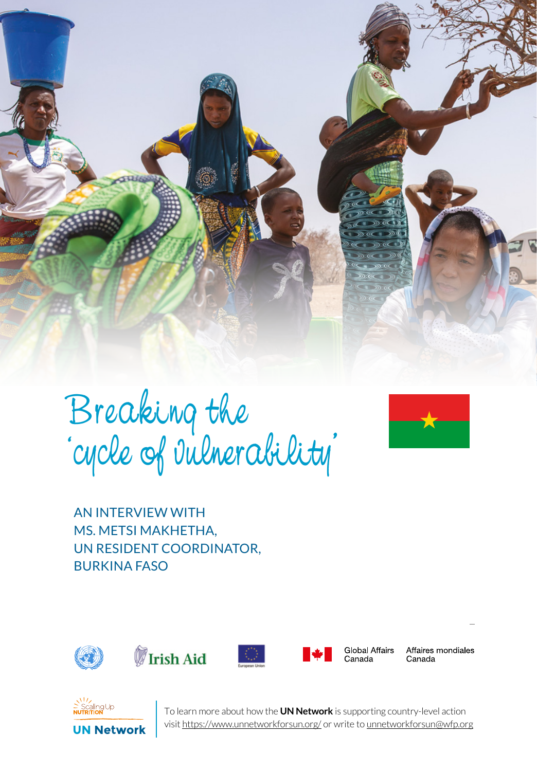

Breaking the 'cycle of vulnerability'



AN INTERVIEW WITH MS. METSI MAKHETHA, UN RESIDENT COORDINATOR, BURKINA FASO









Global Affairs Canada

Affaires mondiales Canada



To learn more about how the **UN Network** is supporting country-level action visit https://www.unnetworkforsun.org/ or write to unnetworkforsun@wfp.org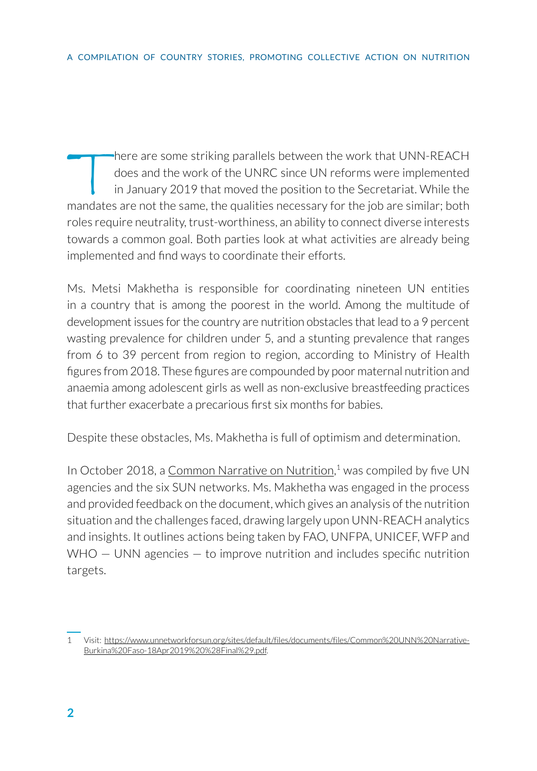There are some striking parallels between the work that UNN-REACH<br>does and the work of the UNRC since UN reforms were implemented<br>in January 2019 that moved the position to the Secretariat. While the<br>mandates are not the s does and the work of the UNRC since UN reforms were implemented in January 2019 that moved the position to the Secretariat. While the mandates are not the same, the qualities necessary for the job are similar; both roles require neutrality, trust-worthiness, an ability to connect diverse interests towards a common goal. Both parties look at what activities are already being implemented and find ways to coordinate their efforts.

Ms. Metsi Makhetha is responsible for coordinating nineteen UN entities in a country that is among the poorest in the world. Among the multitude of development issues for the country are nutrition obstacles that lead to a 9 percent wasting prevalence for children under 5, and a stunting prevalence that ranges from 6 to 39 percent from region to region, according to Ministry of Health figures from 2018. These figures are compounded by poor maternal nutrition and anaemia among adolescent girls as well as non-exclusive breastfeeding practices that further exacerbate a precarious first six months for babies.

Despite these obstacles, Ms. Makhetha is full of optimism and determination.

In October 2018, a [Common Narrative on Nutrition](https://www.unnetworkforsun.org/sites/default/files/documents/files/Common%20UNN%20Narrative-Burkina%20Faso-18Apr2019%20%28Final%29.pdf),<sup>1</sup> was compiled by five UN agencies and the six SUN networks. Ms. Makhetha was engaged in the process and provided feedback on the document, which gives an analysis of the nutrition situation and the challenges faced, drawing largely upon UNN-REACH analytics and insights. It outlines actions being taken by FAO, UNFPA, UNICEF, WFP and  $WHO - UNN$  agencies  $-$  to improve nutrition and includes specific nutrition targets.

<sup>1</sup> Visit: [https://www.unnetworkforsun.org/sites/default/files/documents/files/Common%20UNN%20Narrative-](https://www.unnetworkforsun.org/sites/default/files/documents/files/Common%20UNN%20Narrative-Burkina%20Faso-18Apr2019%20%28Final%29.pdf)[Burkina%20Faso-18Apr2019%20%28Final%29.pdf](https://www.unnetworkforsun.org/sites/default/files/documents/files/Common%20UNN%20Narrative-Burkina%20Faso-18Apr2019%20%28Final%29.pdf).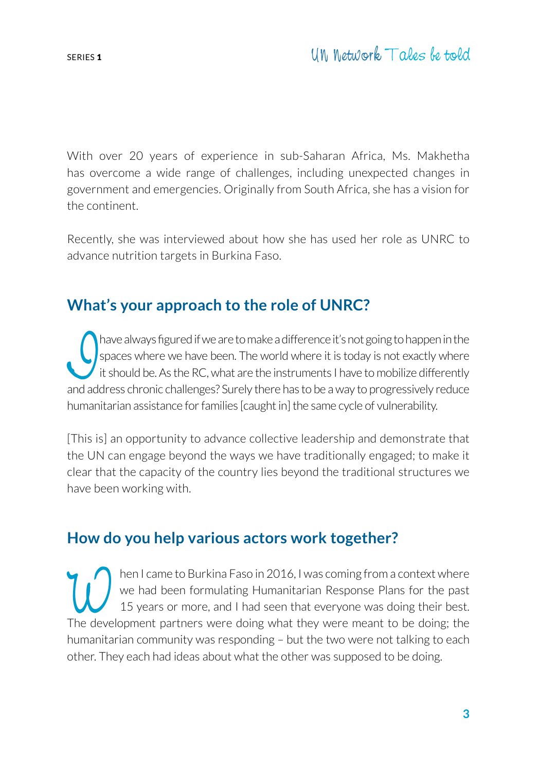With over 20 years of experience in sub-Saharan Africa, Ms. Makhetha has overcome a wide range of challenges, including unexpected changes in government and emergencies. Originally from South Africa, she has a vision for the continent.

Recently, she was interviewed about how she has used her role as UNRC to advance nutrition targets in Burkina Faso.

# **What's your approach to the role of UNRC?**

have always figured if we are to make a difference it's not going to happen in the spaces where we have been. The world where it is today is not exactly where it is should be. As the RC, what are the instruments I have to have always figured if we are to make a difference it's not going to happen in the spaces where we have been. The world where it is today is not exactly where it should be. As the RC, what are the instruments I have to mobilize differently humanitarian assistance for families [caught in] the same cycle of vulnerability.

[This is] an opportunity to advance collective leadership and demonstrate that the UN can engage beyond the ways we have traditionally engaged; to make it clear that the capacity of the country lies beyond the traditional structures we have been working with.

# **How do you help various actors work together?**

the I came to Burkina Faso in 2016, I was coming from a context where<br>we had been formulating Humanitarian Response Plans for the past<br>15 years or more, and I had seen that everyone was doing their best.<br>The development pa we had been formulating Humanitarian Response Plans for the past 15 years or more, and I had seen that everyone was doing their best. The development partners were doing what they were meant to be doing; the humanitarian community was responding – but the two were not talking to each other. They each had ideas about what the other was supposed to be doing.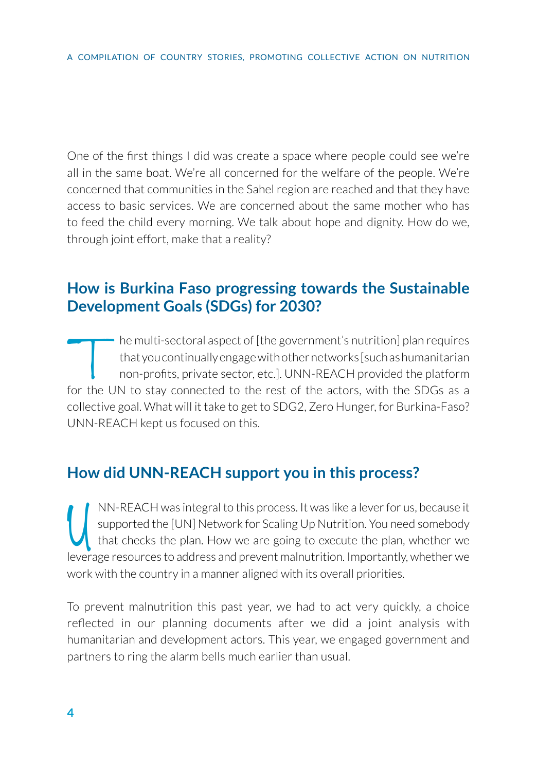One of the first things I did was create a space where people could see we're all in the same boat. We're all concerned for the welfare of the people. We're concerned that communities in the Sahel region are reached and that they have access to basic services. We are concerned about the same mother who has to feed the child every morning. We talk about hope and dignity. How do we, through joint effort, make that a reality?

### **How is Burkina Faso progressing towards the Sustainable Development Goals (SDGs) for 2030?**

The multi-sectoral aspect of [the government's nutrition] plan requires<br>that you continually engage with other networks [such as humanitarian<br>non-profits, private sector, etc.]. UNN-REACH provided the platform<br>for the UN t that you continually engage with other networks [such as humanitarian non-profits, private sector, etc.]. UNN-REACH provided the platform for the UN to stay connected to the rest of the actors, with the SDGs as a collective goal. What will it take to get to SDG2, Zero Hunger, for Burkina-Faso? UNN-REACH kept us focused on this.

## **How did UNN-REACH support you in this process?**

I MN-REACH was integral to this process. It was like a lever for us, because it supported the [UN] Network for Scaling Up Nutrition. You need somebody that checks the plan. How we are going to execute the plan, whether we NN-REACH was integral to this process. It was like a lever for us, because it supported the [UN] Network for Scaling Up Nutrition. You need somebody that checks the plan. How we are going to execute the plan, whether we work with the country in a manner aligned with its overall priorities.

To prevent malnutrition this past year, we had to act very quickly, a choice reflected in our planning documents after we did a joint analysis with humanitarian and development actors. This year, we engaged government and partners to ring the alarm bells much earlier than usual.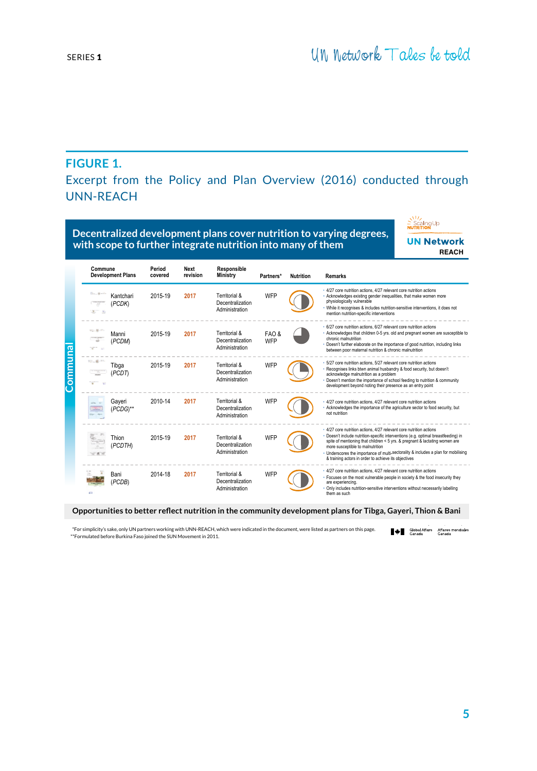#### **FIGURE 1.**

Excerpt from the Policy and Plan Overview (2016) conducted through UNN-REACH

|         | Decentralized development plans cover nutrition to varying degrees,<br>with scope to further integrate nutrition into many of them |                   |                         |                                                     |              |                  | <b>UN Network</b><br><b>REACH</b>                                                                                                                                                                                                                                                                                                                                                                                          |  |
|---------|------------------------------------------------------------------------------------------------------------------------------------|-------------------|-------------------------|-----------------------------------------------------|--------------|------------------|----------------------------------------------------------------------------------------------------------------------------------------------------------------------------------------------------------------------------------------------------------------------------------------------------------------------------------------------------------------------------------------------------------------------------|--|
| Communa | Commune<br><b>Development Plans</b>                                                                                                | Period<br>covered | <b>Next</b><br>revision | Responsible<br>Ministry                             | Partners*    | <b>Nutrition</b> | <b>Remarks</b>                                                                                                                                                                                                                                                                                                                                                                                                             |  |
|         | Kantchari<br>(PCDK)<br>x                                                                                                           | 2015-19           | 2017                    | Territorial &<br>Decentralization<br>Administration | WFP          |                  | · 4/27 core nutrition actions, 4/27 relevant core nutrition actions<br>- Acknowledges existing gender inequalities, that make women more<br>physiologically vulnerable<br>. While it recognises & includes nutrition-sensitive interventions, it does not<br>mention nutrition-specific interventions                                                                                                                      |  |
|         | Vol. 86<br>Manni<br>(PCDM)<br>$\mathcal{L}$                                                                                        | 2015-19           | 2017                    | Territorial &<br>Decentralization<br>Administration | FAO &<br>WFP |                  | · 6/27 core nutrition actions, 6/27 relevant core nutrition actions<br>· Acknowledges that children 0-5 yrs. old and pregnant women are susceptible to<br>chronic malnutrition<br>Doesn't further elaborate on the importance of good nutrition, including links<br>between poor maternal nutrition & chronic malnutrition                                                                                                 |  |
|         | to gives<br>Tibga<br>(PCDT)                                                                                                        | 2015-19           | 2017                    | Territorial &<br>Decentralization<br>Administration | WFP          |                  | 5/27 core nutrition actions, 5/27 relevant core nutrition actions<br>Recognises links btwn animal husbandry & food security, but doesn't<br>acknowledge malnutrition as a problem<br>Doesn't mention the importance of school feeding to nutrition & community<br>development beyond noting their presence as an entry point                                                                                               |  |
|         | Gayeri<br>(PCDG)**                                                                                                                 | 2010-14           | 2017                    | Territorial &<br>Decentralization<br>Administration | WFP          |                  | · 4/27 core nutrition actions, 4/27 relevant core nutrition actions<br>. Acknowledges the importance of the agriculture sector to food security, but<br>not nutrition                                                                                                                                                                                                                                                      |  |
|         | Thion<br>(PCDTH)<br>w                                                                                                              | 2015-19           | 2017                    | Territorial &<br>Decentralization<br>Administration | WFP          |                  | · 4/27 core nutrition actions, 4/27 relevant core nutrition actions<br>· Doesn't include nutrition-specific interventions (e.g. optimal breastfeeding) in<br>spite of mentioning that children < 5 yrs. & pregnant & lactating women are<br>more susceptible to malnutrition<br>. Underscores the importance of multi-sectorality & includes a plan for mobilising<br>& training actors in order to achieve its objectives |  |
|         | Bani<br>(PCDB)<br>g (p)                                                                                                            | 2014-18           | 2017                    | Territorial &<br>Decentralization<br>Administration | WFP          |                  | · 4/27 core nutrition actions, 4/27 relevant core nutrition actions<br>· Focuses on the most vulnerable people in society & the food insecurity they<br>are experiencing.<br>Only includes nutrition-sensitive interventions without necessarily labelling<br>them as such                                                                                                                                                 |  |

**Opportunities to better reflect nutrition in the community development plans for Tibga, Gayeri, Thion & Bani** 

\*For simplicity's sake, only UN partners working with UNN-REACH, which were indicated in the document, were listed as partners on this page. Global Affairs Affaires mondiales \*\*Formulated before Burkina Faso joined the SUN Movement in 2011.